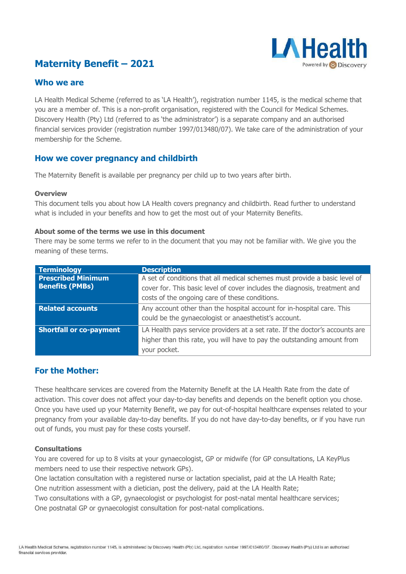# **Maternity Benefit – 2021**



# **Who we are**

LA Health Medical Scheme (referred to as 'LA Health'), registration number 1145, is the medical scheme that you are a member of. This is a non-profit organisation, registered with the Council for Medical Schemes. Discovery Health (Pty) Ltd (referred to as 'the administrator') is a separate company and an authorised financial services provider (registration number 1997/013480/07). We take care of the administration of your membership for the Scheme.

# **How we cover pregnancy and childbirth**

The Maternity Benefit is available per pregnancy per child up to two years after birth.

#### **Overview**

This document tells you about how LA Health covers pregnancy and childbirth. Read further to understand what is included in your benefits and how to get the most out of your Maternity Benefits.

#### **About some of the terms we use in this document**

There may be some terms we refer to in the document that you may not be familiar with. We give you the meaning of these terms.

| <b>Terminology</b>             | <b>Description</b>                                                           |
|--------------------------------|------------------------------------------------------------------------------|
| <b>Prescribed Minimum</b>      | A set of conditions that all medical schemes must provide a basic level of   |
| <b>Benefits (PMBs)</b>         | cover for. This basic level of cover includes the diagnosis, treatment and   |
|                                | costs of the ongoing care of these conditions.                               |
| <b>Related accounts</b>        | Any account other than the hospital account for in-hospital care. This       |
|                                | could be the gynaecologist or anaesthetist's account.                        |
| <b>Shortfall or co-payment</b> | LA Health pays service providers at a set rate. If the doctor's accounts are |
|                                | higher than this rate, you will have to pay the outstanding amount from      |
|                                | your pocket.                                                                 |

# **For the Mother:**

These healthcare services are covered from the Maternity Benefit at the LA Health Rate from the date of activation. This cover does not affect your day-to-day benefits and depends on the benefit option you chose. Once you have used up your Maternity Benefit, we pay for out-of-hospital healthcare expenses related to your pregnancy from your available day-to-day benefits. If you do not have day-to-day benefits, or if you have run out of funds, you must pay for these costs yourself.

#### **Consultations**

You are covered for up to 8 visits at your gynaecologist, GP or midwife (for GP consultations, LA KeyPlus members need to use their respective network GPs).

One lactation consultation with a registered nurse or lactation specialist, paid at the LA Health Rate; One nutrition assessment with a dietician, post the delivery, paid at the LA Health Rate;

Two consultations with a GP, gynaecologist or psychologist for post-natal mental healthcare services; One postnatal GP or gynaecologist consultation for post-natal complications.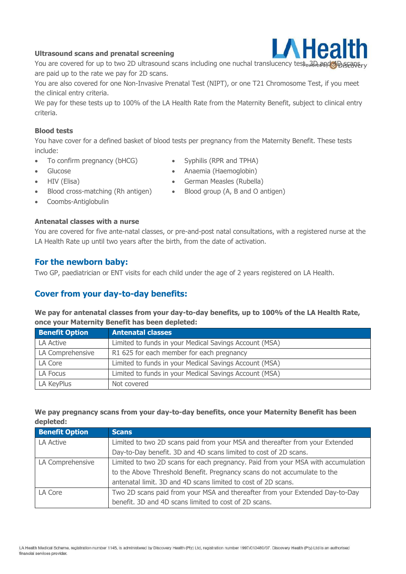#### **Ultrasound scans and prenatal screening**

You are covered for up to two 2D ultrasound scans including one nuchal translucency test. 3D and 4D scansry are paid up to the rate we pay for 2D scans.

You are also covered for one Non-Invasive Prenatal Test (NIPT), or one T21 Chromosome Test, if you meet the clinical entry criteria.

We pay for these tests up to 100% of the LA Health Rate from the Maternity Benefit, subject to clinical entry criteria.

#### **Blood tests**

You have cover for a defined basket of blood tests per pregnancy from the Maternity Benefit. These tests include:

- To confirm pregnancy (bHCG) Syphilis (RPR and TPHA)
- 

- - Glucose **Anaemia (Haemoglobin)**
	- HIV (Elisa) German Measles (Rubella)
	- Blood cross-matching (Rh antigen) Blood group (A, B and O antigen)
- Coombs-Antiglobulin

### **Antenatal classes with a nurse**

You are covered for five ante-natal classes, or pre-and-post natal consultations, with a registered nurse at the LA Health Rate up until two years after the birth, from the date of activation.

# **For the newborn baby:**

Two GP, paediatrician or ENT visits for each child under the age of 2 years registered on LA Health.

# **Cover from your day-to-day benefits:**

**We pay for antenatal classes from your day-to-day benefits, up to 100% of the LA Health Rate, once your Maternity Benefit has been depleted:**

| <b>Benefit Option</b> | <b>Antenatal classes</b>                               |
|-----------------------|--------------------------------------------------------|
| LA Active             | Limited to funds in your Medical Savings Account (MSA) |
| LA Comprehensive      | R1 625 for each member for each pregnancy              |
| LA Core               | Limited to funds in your Medical Savings Account (MSA) |
| LA Focus              | Limited to funds in your Medical Savings Account (MSA) |
| LA KeyPlus            | Not covered                                            |

### **We pay pregnancy scans from your day-to-day benefits, once your Maternity Benefit has been depleted:**

| <b>Benefit Option</b> | <b>Scans</b>                                                                     |
|-----------------------|----------------------------------------------------------------------------------|
| LA Active             | Limited to two 2D scans paid from your MSA and thereafter from your Extended     |
|                       | Day-to-Day benefit. 3D and 4D scans limited to cost of 2D scans.                 |
| LA Comprehensive      | Limited to two 2D scans for each pregnancy. Paid from your MSA with accumulation |
|                       | to the Above Threshold Benefit. Pregnancy scans do not accumulate to the         |
|                       | antenatal limit. 3D and 4D scans limited to cost of 2D scans.                    |
| LA Core               | Two 2D scans paid from your MSA and thereafter from your Extended Day-to-Day     |
|                       | benefit. 3D and 4D scans limited to cost of 2D scans.                            |

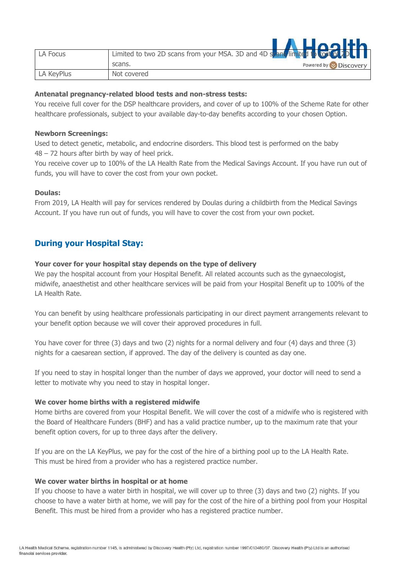|            | A ETAD ITA                                                                    |
|------------|-------------------------------------------------------------------------------|
| LA Focus   | Limited to two 2D scans from your MSA. 3D and 4D scans limited to tost of DUI |
|            | Powered by <b>Discovery</b><br>scans.                                         |
| LA KeyPlus | Not covered                                                                   |

 $\blacksquare$   $\blacksquare$   $\blacksquare$   $\blacksquare$   $\blacksquare$ 

#### **Antenatal pregnancy-related blood tests and non-stress tests:**

You receive full cover for the DSP healthcare providers, and cover of up to 100% of the Scheme Rate for other healthcare professionals, subject to your available day-to-day benefits according to your chosen Option.

#### **Newborn Screenings:**

Used to detect genetic, metabolic, and endocrine disorders. This blood test is performed on the baby 48 – 72 hours after birth by way of heel prick.

You receive cover up to 100% of the LA Health Rate from the Medical Savings Account. If you have run out of funds, you will have to cover the cost from your own pocket.

#### **Doulas:**

From 2019, LA Health will pay for services rendered by Doulas during a childbirth from the Medical Savings Account. If you have run out of funds, you will have to cover the cost from your own pocket.

# **During your Hospital Stay:**

#### **Your cover for your hospital stay depends on the type of delivery**

We pay the hospital account from your Hospital Benefit. All related accounts such as the gynaecologist, midwife, anaesthetist and other healthcare services will be paid from your Hospital Benefit up to 100% of the LA Health Rate.

You can benefit by using healthcare professionals participating in our direct payment arrangements relevant to your benefit option because we will cover their approved procedures in full.

You have cover for three (3) days and two (2) nights for a normal delivery and four (4) days and three (3) nights for a caesarean section, if approved. The day of the delivery is counted as day one.

If you need to stay in hospital longer than the number of days we approved, your doctor will need to send a letter to motivate why you need to stay in hospital longer.

#### **We cover home births with a registered midwife**

Home births are covered from your Hospital Benefit. We will cover the cost of a midwife who is registered with the Board of Healthcare Funders (BHF) and has a valid practice number, up to the maximum rate that your benefit option covers, for up to three days after the delivery.

If you are on the LA KeyPlus, we pay for the cost of the hire of a birthing pool up to the LA Health Rate. This must be hired from a provider who has a registered practice number.

#### **We cover water births in hospital or at home**

If you choose to have a water birth in hospital, we will cover up to three (3) days and two (2) nights. If you choose to have a water birth at home, we will pay for the cost of the hire of a birthing pool from your Hospital Benefit. This must be hired from a provider who has a registered practice number.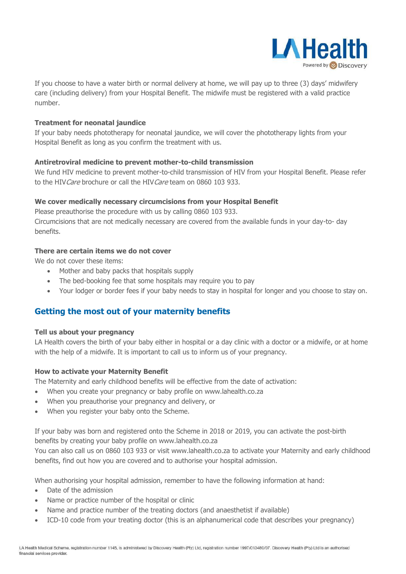

If you choose to have a water birth or normal delivery at home, we will pay up to three (3) days' midwifery care (including delivery) from your Hospital Benefit. The midwife must be registered with a valid practice number.

#### **Treatment for neonatal jaundice**

If your baby needs phototherapy for neonatal jaundice, we will cover the phototherapy lights from your Hospital Benefit as long as you confirm the treatment with us.

#### **Antiretroviral medicine to prevent mother-to-child transmission**

We fund HIV medicine to prevent mother-to-child transmission of HIV from your Hospital Benefit. Please refer to the HIV Care brochure or call the HIV Care team on 0860 103 933.

#### **We cover medically necessary circumcisions from your Hospital Benefit**

Please preauthorise the procedure with us by calling 0860 103 933.

Circumcisions that are not medically necessary are covered from the available funds in your day-to- day benefits.

#### **There are certain items we do not cover**

We do not cover these items:

- Mother and baby packs that hospitals supply
- The bed-booking fee that some hospitals may require you to pay
- Your lodger or border fees if your baby needs to stay in hospital for longer and you choose to stay on.

# **Getting the most out of your maternity benefits**

#### **Tell us about your pregnancy**

LA Health covers the birth of your baby either in hospital or a day clinic with a doctor or a midwife, or at home with the help of a midwife. It is important to call us to inform us of your pregnancy.

#### **How to activate your Maternity Benefit**

The Maternity and early childhood benefits will be effective from the date of activation:

- When you create your pregnancy or baby profile on www.lahealth.co.za
- When you preauthorise your pregnancy and delivery, or
- When you register your baby onto the Scheme.

If your baby was born and registered onto the Scheme in 2018 or 2019, you can activate the post-birth benefits by creating your baby profile on www.lahealth.co.za

You can also call us on 0860 103 933 or visit www.lahealth.co.za to activate your Maternity and early childhood benefits, find out how you are covered and to authorise your hospital admission.

When authorising your hospital admission, remember to have the following information at hand:

- Date of the admission
- Name or practice number of the hospital or clinic
- Name and practice number of the treating doctors (and anaesthetist if available)
- ICD-10 code from your treating doctor (this is an alphanumerical code that describes your pregnancy)